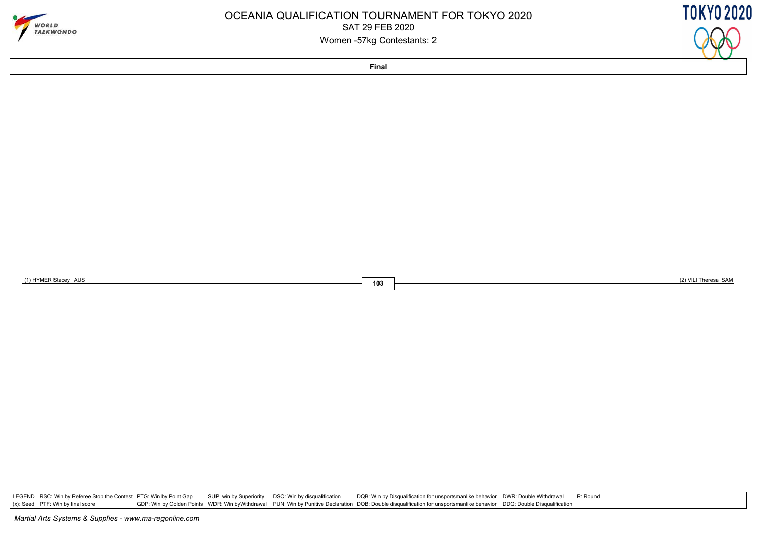

### OCEANIA QUALIFICATION TOURNAMENT FOR TOKYO 2020SAT 29 FEB 2020Women -57kg Contestants: 2

**TOKYO 2020** 

**Final**

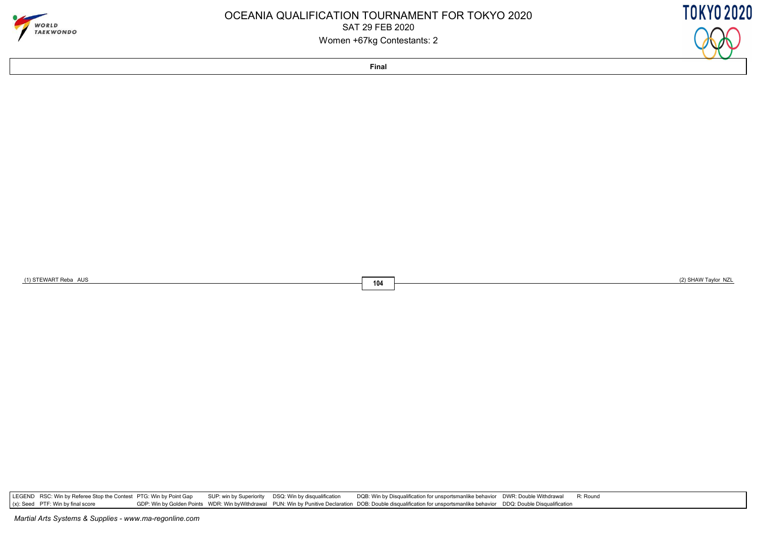

### OCEANIA QUALIFICATION TOURNAMENT FOR TOKYO 2020SAT 29 FEB 2020Women +67kg Contestants: 2

**TOKYO 2020** 

**Final**

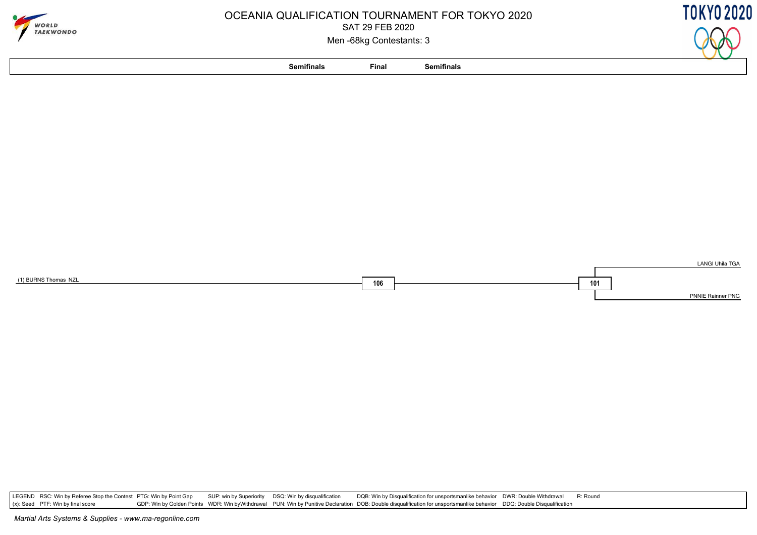

## OCEANIA QUALIFICATION TOURNAMENT FOR TOKYO 2020SAT 29 FEB 2020

Men -68kg Contestants: 3





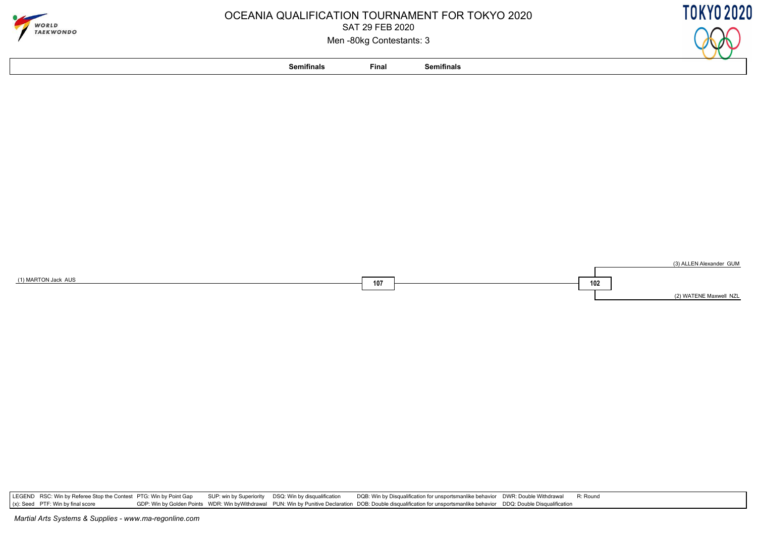

# OCEANIA QUALIFICATION TOURNAMENT FOR TOKYO 2020SAT 29 FEB 2020

Men -80kg Contestants: 3